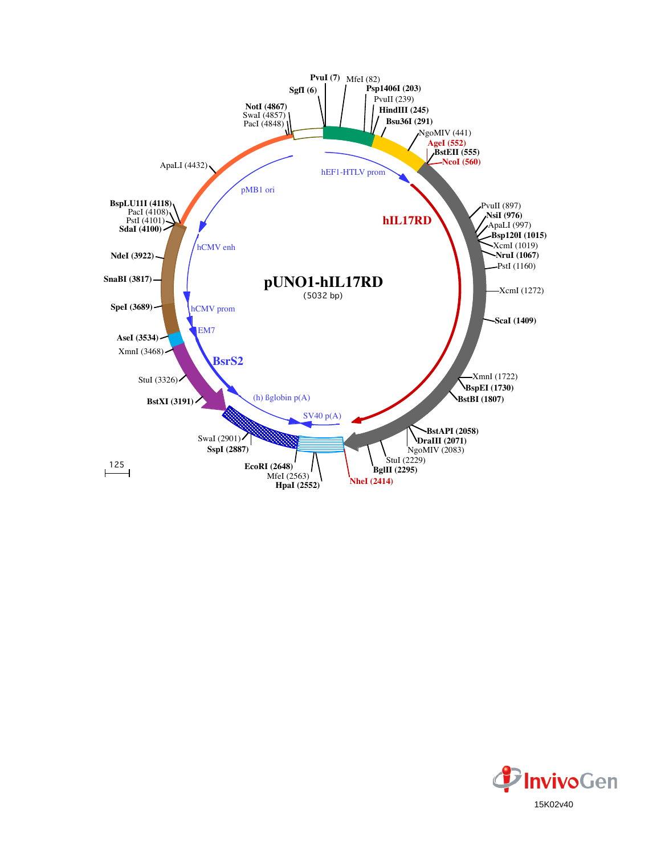

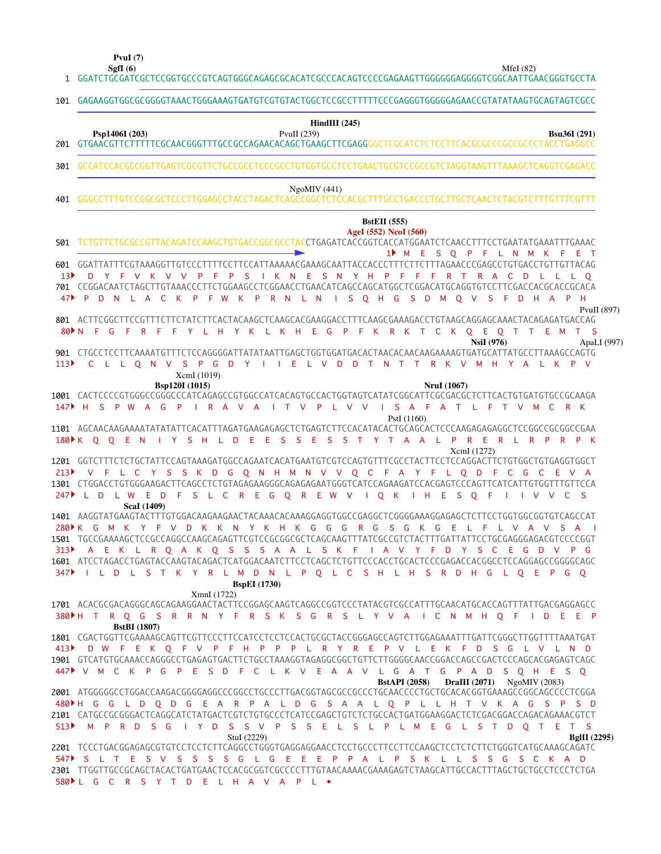**SgfI (6) PvuI (7)**

MfeI (82)

GGATCTGCGATCGCTCCGGTGCCCGTCAGTGGGCAGAGCGCACATCGCCCACAGTCCCCGAGAAGTTGGGGGGAGGGGTCGGCAATTGAACGGGTGCCTA 1

| 101                                | GAGAAGGTGGCGCGGGGTAAACTGGGAAAGTGATGTCTGTGTACTGGCTCCGCCTTTTTCCCGAGGGTGGGGAGAACCGTATATAAGTGCAGTAGTCGCC                                                                                                                                                                                                                                                                                                                |
|------------------------------------|---------------------------------------------------------------------------------------------------------------------------------------------------------------------------------------------------------------------------------------------------------------------------------------------------------------------------------------------------------------------------------------------------------------------|
| 201                                | $HindIII$ (245)<br>Psp1406I (203)<br>PvuII (239)<br><b>Bsu36I</b> (291)                                                                                                                                                                                                                                                                                                                                             |
| 301                                | GCCATCCACGCCGGTTGAGTCGCGTTCTGCCGCCTCCCGCCTGTGGTGCCTCCTGAACTGCGTCCGCCGTCTAGGTAAGTTTAAAGCTCAGGTCGAGACC                                                                                                                                                                                                                                                                                                                |
| 401                                | NgoMIV(441)                                                                                                                                                                                                                                                                                                                                                                                                         |
| 501                                | <b>BstEII</b> (555)<br>AgeI (552) NcoI (560)<br>TCTGTTCTGCGCCGTTACAGATCCAAGCTGTGACCGGCGCCTACCTGAGATCACCGGTCACCATGGAATCTCAACCTTTCCTGAATATGAAATTTGAAAC                                                                                                                                                                                                                                                                |
| 13 <sup>b</sup><br>47 <sup>3</sup> | 1 <sup>M</sup> M E S O P F L N M K F<br>ET<br>601 GGATTATTTCGTAAAGGTTGTCCCTTTTCCTTCCATTAAAAACGAAAGCAATTACCACCCTTTCTTCTTTAGAACCCGAGCCTGTGACCTGTTGTTACAG<br>- S<br>I K N<br>$-E$<br>SNYHPF<br>R A C D<br>D.<br>Y F V K V V<br>$\mathsf{P}$<br>-F<br><b>P</b><br>$F - F$<br>R<br>$\top$<br>L L L O<br>$\mathsf{P}$<br>D N L A C K P F W K P R N L N I S O H G S D M O V S F D H A P H<br>PvuII $(897)$                 |
| $80$ N<br>113 <sup>2</sup>         | 801 ACTTCGGCTTCCGTTTCTATCTTCAACTACAAGCTCAAGCACGAAGGACCTTTCAAGCGAAAGACCTGTAAGCAGGAGCAAACTACAGAGATGACCAG<br>F R F F Y L H Y K L K H E G P F K R K T C K Q E Q T T E M<br>- F<br>$-G$<br>$T$ S<br><b>NsiI</b> (976)<br>ApaLI (997)<br>901 CTGCCTCCTTCAAAATGTTTCTCCAGGGGATTATATAATTGAGCTGGTGGATGACACTAACACAACAAGAAAAGTGATGCATTATGCCTTAAAGCCAGTG<br>C L L Q N V S P G D Y I I E L V D D T N T T R K V M H Y A L K<br>P V |
|                                    | XcmI (1019)<br>Bsp120I (1015)<br><b>NruI</b> (1067)<br>1001 CACTCCCCGTGGGCCGGGCCCATCAGAGCCGTGGCCATCACAGTGCCACTGGTAGTCATATCGGCATTCGCGACGCTCTTCACTGTGATGTGCCGCAAGA<br>147 FISPW AGPIRAVAITVPLVV<br>I S A F A T L F T V M C<br>R K<br>PstI (1160)                                                                                                                                                                      |
|                                    | I Y S H L D E E S<br>S E S S T Y T A A L P R E R L R P R P K<br>180 K O O E N<br>XcmI (1272)<br>1201 GGTCTTTCTCTGCTATTCCAGTAAAGATGGCCAGAATCACATGAATGTCGTCCAGTGTTTCGCCTACTTCCTCCAGGACTTCTGTGGCTGTGAGGTGGCT                                                                                                                                                                                                           |
| 213<br>747                         | V F L C Y S S K D G O N H M N V V O C F A Y F L O D F C G C E V A<br>1301 CTGGACCTGTGGGAAGACTTCAGCCTCTGTAGAGAAGGGCAGAGAGAATGGGTCATCCAGAAGATCCCAGGTCCCAGTTCATCATTGTGGTTTGTTCCA<br>L D L W E D F S L C R E G O R E W V I O K<br>$\mathsf{H}$ $\mathsf{H}$ $\mathsf{E}$<br>S.<br>$O$ F<br>$\mathsf{I}$ V V<br>C.<br>-S<br>ScaI (1409)                                                                                  |
|                                    | 1401 AAGGTATGAAGTACTTTGTGGACAAGAAGAACTACAAACACAAAGGAGGTGGCCGAGGCTCGGGGAAAGGAGAGCTCTTCCTGGTGGCGGTGTCAGCCAT<br>280 K G M K Y F V D K K N Y K H K G G G<br>$R$ G<br>$S$ $G$<br>K G<br>-E<br>L F<br>L V A V S A<br>1501 TGCCGAAAAGCTCCGCCAGGCCAAGCAGAGTTCGTCCGCGGCGCTCAGCAAGTTTATCGCCGTCTACTTTGATTATTCCTGCGAGGGAGACGTCCCCGGT                                                                                            |
| 313<br>347                         | I A V Y F D Y S C E G D V P G<br>A E K L R Q A K Q S S S A A L S K F<br>1601 ATCCTAGACCTGAGTACCAAGTACAGACTCATGGACAATCTTCCTCAGCTCTGTTCCCACCTGCACTCCCGAGACCACGGCCTCCAGGAGCCGGGGCAGC<br>I L D L S T K Y R L M D N L P Q L C S H L H S R D H G L Q E P G Q<br><b>BspEI</b> (1730)                                                                                                                                       |
|                                    | XmnI(1722)<br>1701 ACACGCGACAGGGCAGCAGAAGGAACTACTTCCGGAGCAAGTCAGGCCGGTCCCTATACGTCGCCATTTGCAACATGCACCAGTTTATTGACGAGGAGCC<br>380▶H T R Q G S R R N Y F R S K S G R S L Y V A I C N M H Q F I D E E P                                                                                                                                                                                                                  |
|                                    | <b>BstBI</b> (1807)<br>1801 CGACTGGTTCGAAAAGCAGTTCGTTCCCTTCCATCCTCCTCCACTGCGCTACCGGGAGCCAGTCTTGGAGAAATTTGATTCGGGCTTGGTTTTAAATGAT<br>413 D W F E K Q F V P F H P P P L R Y R E P V L E K F D S G L V L N D<br>1901 GTCATGTGCAAACCAGGGCCTGAGAGTGACTTCTGCCTAAAGGTAGAGGCGGCTGTTCTTGGGGCAACCGGACCAGCCGACTCCCAGCACGAGAGTCAGC<br>447 V M C K P G P E S D F C L K V E A A V L G A T G P A D S O H E S O                     |
|                                    | <b>BstAPI</b> (2058) DraIII (2071) NgoMIV (2083)<br>2001 ATGGGGGCCTGGACCAAGACGGGGAGGCCCGGCCTGCCCTTGACGGTAGCGCCGCCCTGCAACCCCTGCTGCACACGGTGAAAGCCGGCAGCCCCTCGGA<br>480 H G G L D Q D G E A R P A L D G S A A L Q P L L H T V K A G S P S D<br>513) M P R D S G I Y D S S V P S S E L S L P L M E G L S T D Q T E T S<br>StuI (2229)<br><b>BgIII</b> (2295)                                                            |
|                                    | 547 S L T E S V S S S S G L G E E P P A L P S K L L S S G S C K A D<br>580 L G C R S Y T D E L H A V A P L .                                                                                                                                                                                                                                                                                                        |